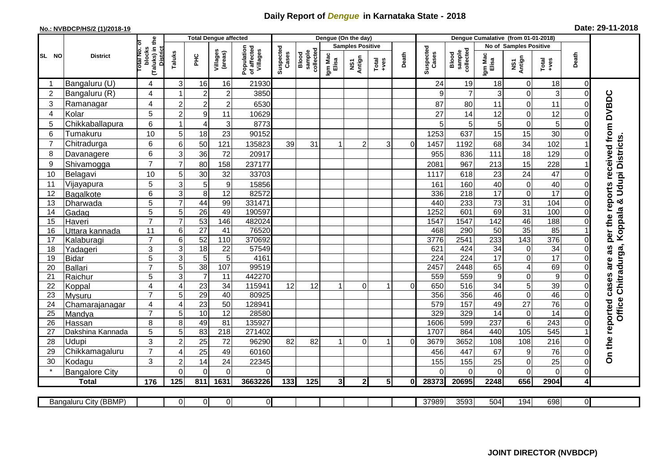## **Daily Report of** *Dengue* **in Karnataka State - 2018**

## **No.: NVBDCP/HS/2 (1)/2018-19 Date: 29-11-2018**

|                 | <b>District</b>              |                                                      | <b>Total Dengue affected</b> |                       |                     |                                       |                                                    |                  |                                  | Dengue (On the day) |                |                    |                              |                        |                  |                         |                      |                         |                                     |
|-----------------|------------------------------|------------------------------------------------------|------------------------------|-----------------------|---------------------|---------------------------------------|----------------------------------------------------|------------------|----------------------------------|---------------------|----------------|--------------------|------------------------------|------------------------|------------------|-------------------------|----------------------|-------------------------|-------------------------------------|
|                 |                              |                                                      |                              |                       |                     | Population<br>of affected<br>Villages |                                                    |                  | <b>Samples Positive</b>          |                     |                |                    |                              | No of Samples Positive |                  |                         |                      |                         |                                     |
| SL NO           |                              | (Taluks) in the<br>District<br>otal No. of<br>blocks | Taluks                       | ΞÉ                    | Villages<br>(areas) |                                       | Suspected<br>Cases<br>Blood<br>sample<br>collected | Igm Mac<br>Elisa | Antign<br>$\overline{\text{MS}}$ | $Tota$<br>$+ves$    | Death          | Suspected<br>Cases | sample<br>collected<br>Blood | Igm Mac<br>Elisa       | NS1<br>Antign    | Total<br>+ves           | Death                |                         |                                     |
|                 | Bangaluru (U)                | 4                                                    | 3                            | 16                    | 16                  | 21930                                 |                                                    |                  |                                  |                     |                |                    | 24                           | 19                     | 18               | $\mathbf 0$             | 18                   | 0                       |                                     |
| $\overline{2}$  | Bangaluru (R)                | 4                                                    |                              | $\overline{2}$        | $\overline{c}$      | 3850                                  |                                                    |                  |                                  |                     |                |                    | 9                            | $\overline{7}$         | 3                | $\mathsf 0$             | 3                    | $\Omega$                |                                     |
| 3               | Ramanagar                    | 4                                                    | $\overline{2}$               | $\overline{2}$        | $\overline{c}$      | 6530                                  |                                                    |                  |                                  |                     |                |                    | 87                           | 80                     | 11               | 0                       | 11                   |                         | per the reports received from DVBDC |
| 4               | Kolar                        | 5                                                    | $\overline{2}$               | $\boldsymbol{9}$      | 11                  | 10629                                 |                                                    |                  |                                  |                     |                |                    | 27                           | 14                     | 12               | 0                       | 12                   |                         |                                     |
| 5               | Chikkaballapura              | 6                                                    | -1                           | $\overline{4}$        | 3                   | 8773                                  |                                                    |                  |                                  |                     |                |                    | 5                            | 5                      | 5                | $\mathsf 0$             | 5                    |                         |                                     |
| 6               | Tumakuru                     | 10                                                   | 5                            | 18                    | 23                  | 90152                                 |                                                    |                  |                                  |                     |                |                    | 1253                         | 637                    | 15               | 15                      | 30                   |                         |                                     |
| 7               | Chitradurga                  | 6                                                    | 6                            | 50                    | 121                 | 135823                                | 39                                                 | 31               |                                  | $\overline{c}$      | 3              | $\Omega$           | 1457                         | 1192                   | 68               | 34                      | 102                  |                         |                                     |
| 8               | Davanagere                   | 6                                                    | 3                            | 36                    | 72                  | 20917                                 |                                                    |                  |                                  |                     |                |                    | 955                          | 836                    | 111              | 18                      | 129                  |                         |                                     |
| 9               | Shivamogga                   | $\overline{7}$                                       | 7                            | 80                    | 158                 | 237177                                |                                                    |                  |                                  |                     |                |                    | 2081                         | 967                    | 213              | 15                      | 228                  |                         | Udupi Districts                     |
| 10              | Belagavi                     | 10                                                   | 5                            | 30                    | 32                  | 33703                                 |                                                    |                  |                                  |                     |                |                    | 1117                         | 618                    | 23               | 24                      | 47                   |                         |                                     |
| 11              | Vijayapura                   | 5                                                    | 3                            | 5                     | $\boldsymbol{9}$    | 15856                                 |                                                    |                  |                                  |                     |                |                    | 161                          | 160                    | 40               | $\mathbf 0$             | 40                   |                         |                                     |
| 12              | Bagalkote                    | 6                                                    | 3                            | $\overline{8}$        | 12                  | 82572                                 |                                                    |                  |                                  |                     |                |                    | 336                          | 218                    | 17               | $\mathbf 0$             | 17                   |                         |                                     |
| 13              | Dharwada                     | 5                                                    | $\overline{7}$               | 44                    | 99                  | 331471                                |                                                    |                  |                                  |                     |                |                    | 440                          | 233                    | 73               | 31                      | 104                  | $\Omega$                | ×                                   |
| 14              | Gadag                        | $\overline{5}$                                       | 5                            | $\overline{26}$       | 49                  | 190597                                |                                                    |                  |                                  |                     |                |                    | 1252                         | 601                    | 69               | 31                      | 100                  |                         | Koppala                             |
| 15              | Haveri                       | $\overline{7}$                                       | $\overline{7}$               | 53                    | 146                 | 482024                                |                                                    |                  |                                  |                     |                |                    | 1547                         | 1547                   | 142              | 46                      | 188                  |                         |                                     |
| 16              | Uttara kannada               | 11                                                   | $\,6$                        | $\overline{27}$       | 41                  | 76520                                 |                                                    |                  |                                  |                     |                |                    | 468                          | 290                    | 50               | 35                      | 85                   |                         |                                     |
| 17              | Kalaburagi                   | $\overline{7}$                                       | $6\phantom{1}6$              | 52                    | 110                 | 370692                                |                                                    |                  |                                  |                     |                |                    | 3776                         | 2541                   | 233              | 143                     | 376                  |                         |                                     |
| 18              | Yadageri                     | 3                                                    | 3                            | $\overline{18}$       | 22                  | 57549                                 |                                                    |                  |                                  |                     |                |                    | 621                          | 424                    | 34               | $\mathbf 0$             | 34                   |                         |                                     |
| 19              | Bidar                        | 5                                                    | $\overline{3}$               | $\overline{5}$        | $5\,$               | 4161                                  |                                                    |                  |                                  |                     |                |                    | 224                          | $\overline{224}$       | $\overline{17}$  | $\overline{0}$          | 17                   |                         |                                     |
| 20              | Ballari                      | $\overline{7}$                                       | 5                            | 38                    | 107                 | 99519                                 |                                                    |                  |                                  |                     |                |                    | 2457                         | 2448                   | 65               | $\overline{\mathbf{4}}$ | 69                   |                         | Chitradurga,                        |
| 21              | Raichur                      | 5                                                    | $\overline{3}$               | $\overline{7}$        | 11                  | 442270<br>115941                      | 12                                                 | 12               |                                  | $\Omega$            |                | $\Omega$           | 559                          | 559<br>516             | $\boldsymbol{9}$ | $\mathbf 0$             | $\overline{9}$<br>39 |                         |                                     |
| 22<br>23        | Koppal                       | $\overline{4}$<br>$\overline{7}$                     | $\overline{4}$<br>5          | $\overline{23}$<br>29 | 34<br>40            | 80925                                 |                                                    |                  |                                  |                     |                |                    | 650<br>356                   | 356                    | 34<br>46         | 5<br>$\mathsf 0$        | 46                   |                         |                                     |
| 24              | Mysuru<br>Chamarajanagar     | 4                                                    | $\overline{4}$               | $\overline{23}$       | 50                  | 12894 <sup>-</sup>                    |                                                    |                  |                                  |                     |                |                    | 579                          | 157                    | 49               | $\overline{27}$         | $\overline{76}$      | $\Omega$                |                                     |
| $\overline{25}$ | Mandya                       | $\overline{7}$                                       | 5                            | 10                    | $\overline{12}$     | 28580                                 |                                                    |                  |                                  |                     |                |                    | 329                          | 329                    | 14               | $\mathsf 0$             | 14                   | $\Omega$                | Office                              |
| 26              | Hassan                       | 8                                                    | 8                            | 49                    | 81                  | 135927                                |                                                    |                  |                                  |                     |                |                    | 1606                         | 599                    | 237              | $\overline{6}$          | 243                  | $\Omega$                |                                     |
| 27              | Dakshina Kannada             | 5                                                    | 5                            | 83                    | $\overline{218}$    | 271402                                |                                                    |                  |                                  |                     |                |                    | 1707                         | 864                    | 440              | 105                     | 545                  |                         |                                     |
| 28              | Udupi                        | 3                                                    | $\overline{2}$               | 25                    | 72                  | 96290                                 | 82                                                 | 82               |                                  | $\Omega$            | -1             | $\Omega$           | 3679                         | 3652                   | 108              | 108                     | 216                  |                         |                                     |
| 29              | Chikkamagaluru               | $\overline{7}$                                       | $\overline{4}$               | 25                    | 49                  | 60160                                 |                                                    |                  |                                  |                     |                |                    | 456                          | 447                    | 67               | 9                       | 76                   |                         | On the reported cases are as        |
| 30              | Kodagu                       | 3                                                    | $\overline{2}$               | 14                    | 24                  | 22345                                 |                                                    |                  |                                  |                     |                |                    | 155                          | 155                    | 25               | $\mathsf 0$             | 25                   | $\mathbf 0$             |                                     |
|                 | <b>Bangalore City</b>        |                                                      | $\Omega$                     | $\mathbf{0}$          | $\overline{0}$      | $\Omega$                              |                                                    |                  |                                  |                     |                |                    | $\Omega$                     | $\Omega$               | $\Omega$         | 0                       | $\mathbf 0$          | $\mathbf 0$             |                                     |
|                 | <b>Total</b>                 | 176                                                  | 125                          | 811                   | 1631                | 3663226                               | 133                                                | 125              | 31                               | $\mathbf{2}$        | 5 <sup>1</sup> | 0l                 | 28373                        | 20695                  | 2248             | 656                     | 2904                 | $\overline{\mathbf{4}}$ |                                     |
|                 |                              |                                                      |                              |                       |                     |                                       |                                                    |                  |                                  |                     |                |                    |                              |                        |                  |                         |                      |                         |                                     |
|                 | <b>Bangaluru City (BBMP)</b> |                                                      | $\overline{0}$               | $\overline{0}$        | $\overline{0}$      | $\overline{0}$                        |                                                    |                  |                                  |                     |                |                    | 37989                        | 3593                   | 504              | 194                     | 698                  | $\overline{0}$          |                                     |